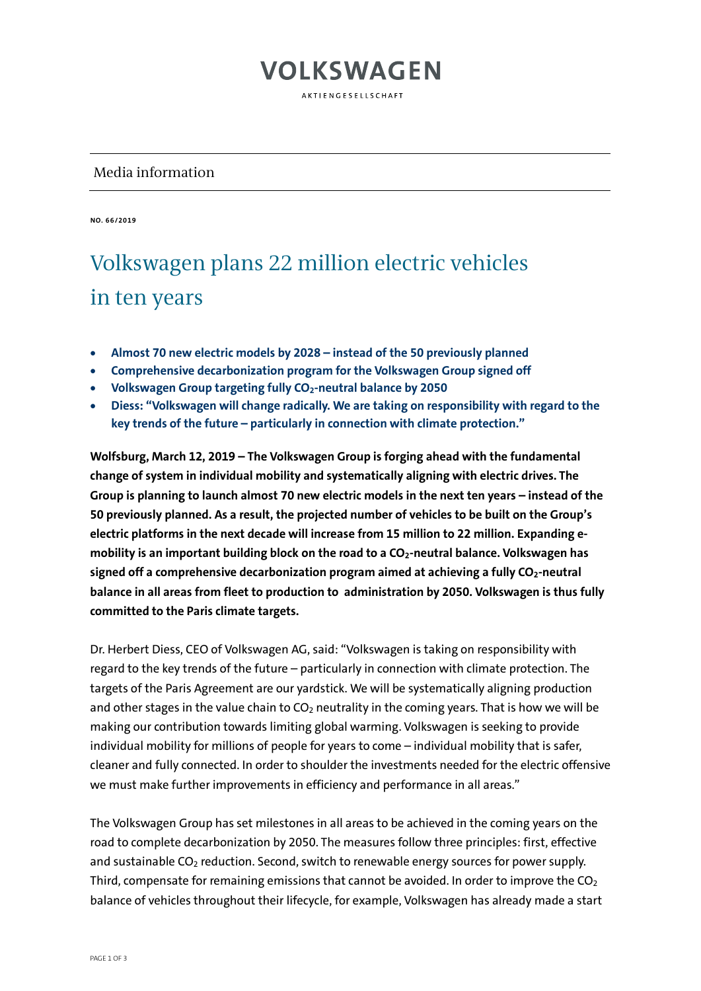### **VOLKSWAGEN**

AKTIENGESELLSCHAFT

#### Media information

**NO. 66/2019**

### Volkswagen plans 22 million electric vehicles in ten years

- **Almost 70 new electric models by 2028 – instead of the 50 previously planned**
- **Comprehensive decarbonization program for the Volkswagen Group signed off**
- **Volkswagen Group targeting fully CO2-neutral balance by 2050**
- **Diess: "Volkswagen will change radically. We are taking on responsibility with regard to the key trends of the future – particularly in connection with climate protection."**

**Wolfsburg, March 12, 2019 – The Volkswagen Group is forging ahead with the fundamental change of system in individual mobility and systematically aligning with electric drives. The Group is planning to launch almost 70 new electric models in the next ten years – instead of the 50 previously planned. As a result, the projected number of vehicles to be built on the Group's electric platforms in the next decade will increase from 15 million to 22 million. Expanding e**mobility is an important building block on the road to a CO<sub>2</sub>-neutral balance. Volkswagen has signed off a comprehensive decarbonization program aimed at achieving a fully CO<sub>2</sub>-neutral **balance in all areas from fleet to production to administration by 2050. Volkswagen is thus fully committed to the Paris climate targets.**

Dr. Herbert Diess, CEO of Volkswagen AG, said: "Volkswagen is taking on responsibility with regard to the key trends of the future – particularly in connection with climate protection. The targets of the Paris Agreement are our yardstick. We will be systematically aligning production and other stages in the value chain to  $CO<sub>2</sub>$  neutrality in the coming years. That is how we will be making our contribution towards limiting global warming. Volkswagen is seeking to provide individual mobility for millions of people for years to come – individual mobility that is safer, cleaner and fully connected. In order to shoulder the investments needed for the electric offensive we must make further improvements in efficiency and performance in all areas."

The Volkswagen Group has set milestones in all areas to be achieved in the coming years on the road to complete decarbonization by 2050. The measures follow three principles: first, effective and sustainable CO<sub>2</sub> reduction. Second, switch to renewable energy sources for power supply. Third, compensate for remaining emissions that cannot be avoided. In order to improve the  $CO<sub>2</sub>$ balance of vehicles throughout their lifecycle, for example, Volkswagen has already made a start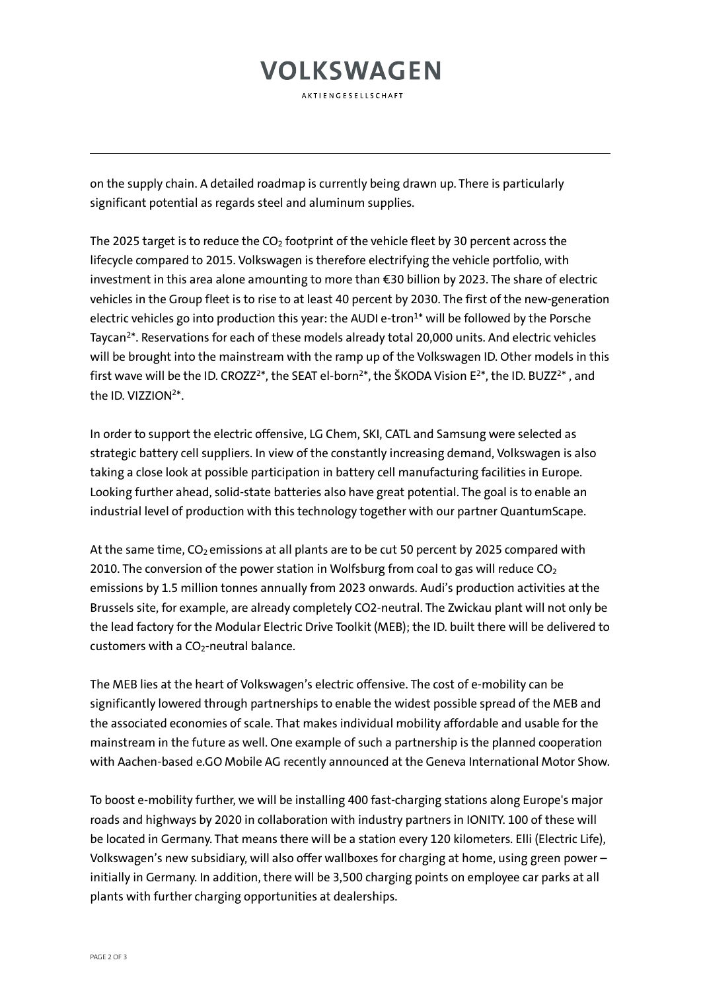## **VOLKSWAGEN**

AKTIENGESELLSCHAFT

on the supply chain. A detailed roadmap is currently being drawn up. There is particularly significant potential as regards steel and aluminum supplies.

The 2025 target is to reduce the  $CO<sub>2</sub>$  footprint of the vehicle fleet by 30 percent across the lifecycle compared to 2015. Volkswagen is therefore electrifying the vehicle portfolio, with investment in this area alone amounting to more than €30 billion by 2023. The share of electric vehicles in the Group fleet is to rise to at least 40 percent by 2030. The first of the new-generation electric vehicles go into production this year: the AUDI e-tron $1*$  will be followed by the Porsche Taycan2\*. Reservations for each of these models already total 20,000 units. And electric vehicles will be brought into the mainstream with the ramp up of the Volkswagen ID. Other models in this first wave will be the ID. CROZZ<sup>2\*</sup>, the SEAT el-born<sup>2\*</sup>, the ŠKODA Vision E<sup>2\*</sup>, the ID. BUZZ<sup>2\*</sup>, and the ID. VIZZION<sup>2\*</sup>

In order to support the electric offensive, LG Chem, SKI, CATL and Samsung were selected as strategic battery cell suppliers. In view of the constantly increasing demand, Volkswagen is also taking a close look at possible participation in battery cell manufacturing facilities in Europe. Looking further ahead, solid-state batteries also have great potential. The goal is to enable an industrial level of production with this technology together with our partner QuantumScape.

At the same time, CO<sub>2</sub> emissions at all plants are to be cut 50 percent by 2025 compared with 2010. The conversion of the power station in Wolfsburg from coal to gas will reduce  $CO<sub>2</sub>$ emissions by 1.5 million tonnes annually from 2023 onwards. Audi's production activities at the Brussels site, for example, are already completely CO2-neutral. The Zwickau plant will not only be the lead factory for the Modular Electric Drive Toolkit (MEB); the ID. built there will be delivered to customers with a  $CO<sub>2</sub>$ -neutral balance.

The MEB lies at the heart of Volkswagen's electric offensive. The cost of e-mobility can be significantly lowered through partnerships to enable the widest possible spread of the MEB and the associated economies of scale. That makes individual mobility affordable and usable for the mainstream in the future as well. One example of such a partnership is the planned cooperation with Aachen-based e.GO Mobile AG recently announced at the Geneva International Motor Show.

To boost e-mobility further, we will be installing 400 fast-charging stations along Europe's major roads and highways by 2020 in collaboration with industry partners in IONITY. 100 of these will be located in Germany. That means there will be a station every 120 kilometers. Elli (Electric Life), Volkswagen's new subsidiary, will also offer wallboxes for charging at home, using green power – initially in Germany. In addition, there will be 3,500 charging points on employee car parks at all plants with further charging opportunities at dealerships.